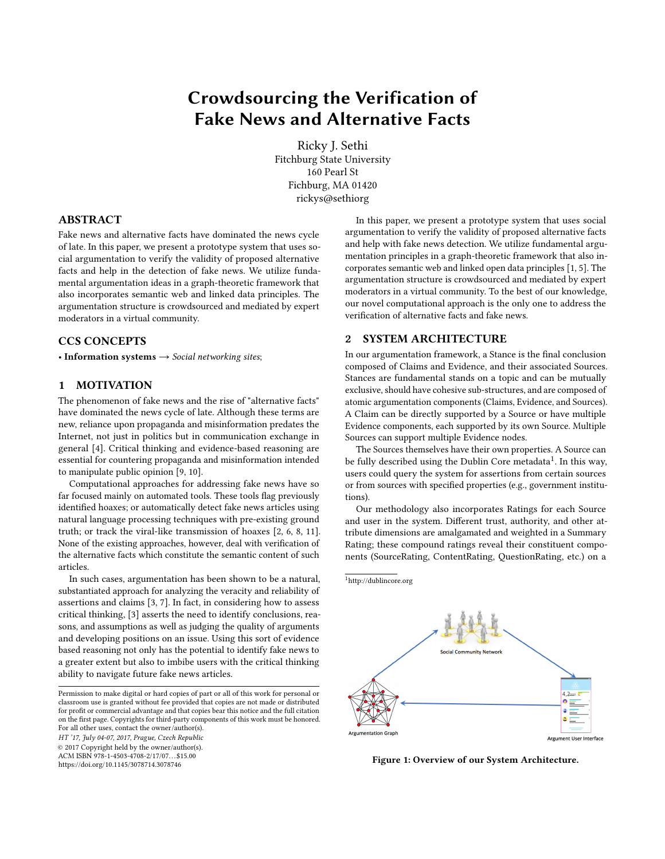# Crowdsourcing the Verification of Fake News and Alternative Facts

Ricky J. Sethi Fitchburg State University 160 Pearl St Fichburg, MA 01420 rickys@sethiorg

## ABSTRACT

Fake news and alternative facts have dominated the news cycle of late. In this paper, we present a prototype system that uses social argumentation to verify the validity of proposed alternative facts and help in the detection of fake news. We utilize fundamental argumentation ideas in a graph-theoretic framework that also incorporates semantic web and linked data principles. The argumentation structure is crowdsourced and mediated by expert moderators in a virtual community.

## CCS CONCEPTS

• Information systems  $\rightarrow$  Social networking sites;

## 1 MOTIVATION

The phenomenon of fake news and the rise of "alternative facts" have dominated the news cycle of late. Although these terms are new, reliance upon propaganda and misinformation predates the Internet, not just in politics but in communication exchange in general [\[4\]](#page-1-0). Critical thinking and evidence-based reasoning are essential for countering propaganda and misinformation intended to manipulate public opinion [\[9,](#page-1-1) [10\]](#page-1-2).

Computational approaches for addressing fake news have so far focused mainly on automated tools. These tools flag previously identified hoaxes; or automatically detect fake news articles using natural language processing techniques with pre-existing ground truth; or track the viral-like transmission of hoaxes [\[2,](#page-1-3) [6,](#page-1-4) [8,](#page-1-5) [11\]](#page-1-6). None of the existing approaches, however, deal with verification of the alternative facts which constitute the semantic content of such articles.

In such cases, argumentation has been shown to be a natural, substantiated approach for analyzing the veracity and reliability of assertions and claims [\[3,](#page-1-7) [7\]](#page-1-8). In fact, in considering how to assess critical thinking, [\[3\]](#page-1-7) asserts the need to identify conclusions, reasons, and assumptions as well as judging the quality of arguments and developing positions on an issue. Using this sort of evidence based reasoning not only has the potential to identify fake news to a greater extent but also to imbibe users with the critical thinking ability to navigate future fake news articles.

Permission to make digital or hard copies of part or all of this work for personal or classroom use is granted without fee provided that copies are not made or distributed for profit or commercial advantage and that copies bear this notice and the full citation on the first page. Copyrights for third-party components of this work must be honored. For all other uses, contact the owner/author(s). HT '17, July 04-07, 2017, Prague, Czech Republic

© 2017 Copyright held by the owner/author(s).

ACM ISBN 978-1-4503-4708-2/17/07. . . \$15.00 <https://doi.org/10.1145/3078714.3078746>

In this paper, we present a prototype system that uses social argumentation to verify the validity of proposed alternative facts and help with fake news detection. We utilize fundamental argumentation principles in a graph-theoretic framework that also incorporates semantic web and linked open data principles [\[1,](#page-1-9) [5\]](#page-1-10). The argumentation structure is crowdsourced and mediated by expert moderators in a virtual community. To the best of our knowledge, our novel computational approach is the only one to address the verification of alternative facts and fake news.

## 2 SYSTEM ARCHITECTURE

In our argumentation framework, a Stance is the final conclusion composed of Claims and Evidence, and their associated Sources. Stances are fundamental stands on a topic and can be mutually exclusive, should have cohesive sub-structures, and are composed of atomic argumentation components (Claims, Evidence, and Sources). A Claim can be directly supported by a Source or have multiple Evidence components, each supported by its own Source. Multiple Sources can support multiple Evidence nodes.

The Sources themselves have their own properties. A Source can be fully described using the Dublin Core metadata<sup>[1](#page-0-0)</sup>. In this way, users could query the system for assertions from certain sources or from sources with specified properties (e.g., government institutions).

Our methodology also incorporates Ratings for each Source and user in the system. Different trust, authority, and other attribute dimensions are amalgamated and weighted in a Summary Rating; these compound ratings reveal their constituent components (SourceRating, ContentRating, QuestionRating, etc.) on a

<span id="page-0-0"></span><sup>1</sup><http://dublincore.org>



Figure 1: Overview of our System Architecture.